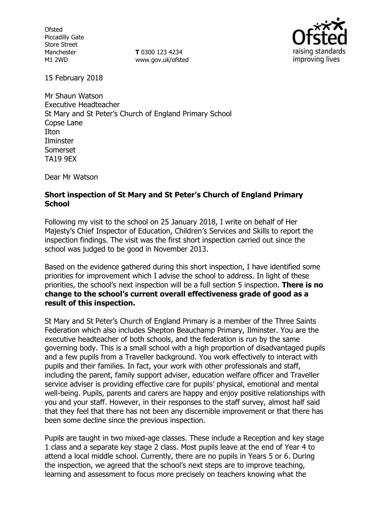**Ofsted** Piccadilly Gate Store Street Manchester M1 2WD

**T** 0300 123 4234 www.gov.uk/ofsted



15 February 2018

Mr Shaun Watson Executive Headteacher St Mary and St Peter's Church of England Primary School Copse Lane Ilton Ilminster Somerset TA19 9EX

Dear Mr Watson

#### **Short inspection of St Mary and St Peter's Church of England Primary School**

Following my visit to the school on 25 January 2018, I write on behalf of Her Majesty's Chief Inspector of Education, Children's Services and Skills to report the inspection findings. The visit was the first short inspection carried out since the school was judged to be good in November 2013.

Based on the evidence gathered during this short inspection, I have identified some priorities for improvement which I advise the school to address. In light of these priorities, the school's next inspection will be a full section 5 inspection. **There is no change to the school's current overall effectiveness grade of good as a result of this inspection.**

St Mary and St Peter's Church of England Primary is a member of the Three Saints Federation which also includes Shepton Beauchamp Primary, Ilminster. You are the executive headteacher of both schools, and the federation is run by the same governing body. This is a small school with a high proportion of disadvantaged pupils and a few pupils from a Traveller background. You work effectively to interact with pupils and their families. In fact, your work with other professionals and staff, including the parent, family support adviser, education welfare officer and Traveller service adviser is providing effective care for pupils' physical, emotional and mental well-being. Pupils, parents and carers are happy and enjoy positive relationships with you and your staff. However, in their responses to the staff survey, almost half said that they feel that there has not been any discernible improvement or that there has been some decline since the previous inspection.

Pupils are taught in two mixed-age classes. These include a Reception and key stage 1 class and a separate key stage 2 class. Most pupils leave at the end of Year 4 to attend a local middle school. Currently, there are no pupils in Years 5 or 6. During the inspection, we agreed that the school's next steps are to improve teaching, learning and assessment to focus more precisely on teachers knowing what the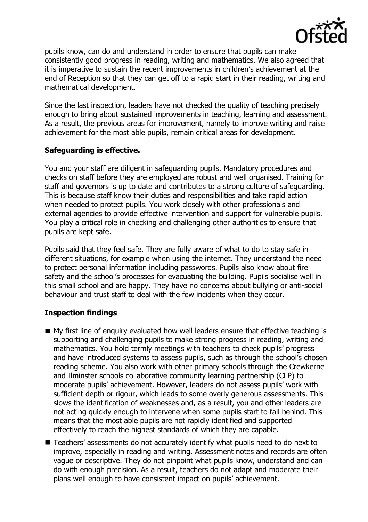

pupils know, can do and understand in order to ensure that pupils can make consistently good progress in reading, writing and mathematics. We also agreed that it is imperative to sustain the recent improvements in children's achievement at the end of Reception so that they can get off to a rapid start in their reading, writing and mathematical development.

Since the last inspection, leaders have not checked the quality of teaching precisely enough to bring about sustained improvements in teaching, learning and assessment. As a result, the previous areas for improvement, namely to improve writing and raise achievement for the most able pupils, remain critical areas for development.

## **Safeguarding is effective.**

You and your staff are diligent in safeguarding pupils. Mandatory procedures and checks on staff before they are employed are robust and well organised. Training for staff and governors is up to date and contributes to a strong culture of safeguarding. This is because staff know their duties and responsibilities and take rapid action when needed to protect pupils. You work closely with other professionals and external agencies to provide effective intervention and support for vulnerable pupils. You play a critical role in checking and challenging other authorities to ensure that pupils are kept safe.

Pupils said that they feel safe. They are fully aware of what to do to stay safe in different situations, for example when using the internet. They understand the need to protect personal information including passwords. Pupils also know about fire safety and the school's processes for evacuating the building. Pupils socialise well in this small school and are happy. They have no concerns about bullying or anti-social behaviour and trust staff to deal with the few incidents when they occur.

# **Inspection findings**

- My first line of enquiry evaluated how well leaders ensure that effective teaching is supporting and challenging pupils to make strong progress in reading, writing and mathematics. You hold termly meetings with teachers to check pupils' progress and have introduced systems to assess pupils, such as through the school's chosen reading scheme. You also work with other primary schools through the Crewkerne and Ilminster schools collaborative community learning partnership (CLP) to moderate pupils' achievement. However, leaders do not assess pupils' work with sufficient depth or rigour, which leads to some overly generous assessments. This slows the identification of weaknesses and, as a result, you and other leaders are not acting quickly enough to intervene when some pupils start to fall behind. This means that the most able pupils are not rapidly identified and supported effectively to reach the highest standards of which they are capable.
- Teachers' assessments do not accurately identify what pupils need to do next to improve, especially in reading and writing. Assessment notes and records are often vague or descriptive. They do not pinpoint what pupils know, understand and can do with enough precision. As a result, teachers do not adapt and moderate their plans well enough to have consistent impact on pupils' achievement.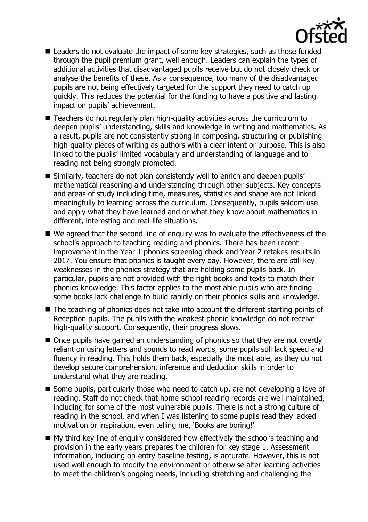

- Leaders do not evaluate the impact of some key strategies, such as those funded through the pupil premium grant, well enough. Leaders can explain the types of additional activities that disadvantaged pupils receive but do not closely check or analyse the benefits of these. As a consequence, too many of the disadvantaged pupils are not being effectively targeted for the support they need to catch up quickly. This reduces the potential for the funding to have a positive and lasting impact on pupils' achievement.
- Teachers do not regularly plan high-quality activities across the curriculum to deepen pupils' understanding, skills and knowledge in writing and mathematics. As a result, pupils are not consistently strong in composing, structuring or publishing high-quality pieces of writing as authors with a clear intent or purpose. This is also linked to the pupils' limited vocabulary and understanding of language and to reading not being strongly promoted.
- Similarly, teachers do not plan consistently well to enrich and deepen pupils' mathematical reasoning and understanding through other subjects. Key concepts and areas of study including time, measures, statistics and shape are not linked meaningfully to learning across the curriculum. Consequently, pupils seldom use and apply what they have learned and or what they know about mathematics in different, interesting and real-life situations.
- We agreed that the second line of enquiry was to evaluate the effectiveness of the school's approach to teaching reading and phonics. There has been recent improvement in the Year 1 phonics screening check and Year 2 retakes results in 2017. You ensure that phonics is taught every day. However, there are still key weaknesses in the phonics strategy that are holding some pupils back. In particular, pupils are not provided with the right books and texts to match their phonics knowledge. This factor applies to the most able pupils who are finding some books lack challenge to build rapidly on their phonics skills and knowledge.
- The teaching of phonics does not take into account the different starting points of Reception pupils. The pupils with the weakest phonic knowledge do not receive high-quality support. Consequently, their progress slows.
- Once pupils have gained an understanding of phonics so that they are not overtly reliant on using letters and sounds to read words, some pupils still lack speed and fluency in reading. This holds them back, especially the most able, as they do not develop secure comprehension, inference and deduction skills in order to understand what they are reading.
- Some pupils, particularly those who need to catch up, are not developing a love of reading. Staff do not check that home-school reading records are well maintained, including for some of the most vulnerable pupils. There is not a strong culture of reading in the school, and when I was listening to some pupils read they lacked motivation or inspiration, even telling me, 'Books are boring!'
- My third key line of enquiry considered how effectively the school's teaching and provision in the early years prepares the children for key stage 1. Assessment information, including on-entry baseline testing, is accurate. However, this is not used well enough to modify the environment or otherwise alter learning activities to meet the children's ongoing needs, including stretching and challenging the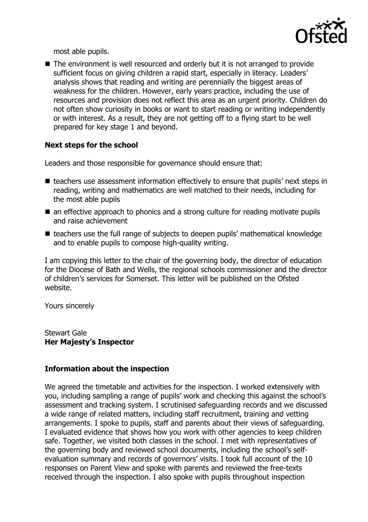

most able pupils.

■ The environment is well resourced and orderly but it is not arranged to provide sufficient focus on giving children a rapid start, especially in literacy. Leaders' analysis shows that reading and writing are perennially the biggest areas of weakness for the children. However, early years practice, including the use of resources and provision does not reflect this area as an urgent priority. Children do not often show curiosity in books or want to start reading or writing independently or with interest. As a result, they are not getting off to a flying start to be well prepared for key stage 1 and beyond.

### **Next steps for the school**

Leaders and those responsible for governance should ensure that:

- teachers use assessment information effectively to ensure that pupils' next steps in reading, writing and mathematics are well matched to their needs, including for the most able pupils
- an effective approach to phonics and a strong culture for reading motivate pupils and raise achievement
- teachers use the full range of subjects to deepen pupils' mathematical knowledge and to enable pupils to compose high-quality writing.

I am copying this letter to the chair of the governing body, the director of education for the Diocese of Bath and Wells, the regional schools commissioner and the director of children's services for Somerset. This letter will be published on the Ofsted website.

Yours sincerely

Stewart Gale **Her Majesty's Inspector**

### **Information about the inspection**

We agreed the timetable and activities for the inspection. I worked extensively with you, including sampling a range of pupils' work and checking this against the school's assessment and tracking system. I scrutinised safeguarding records and we discussed a wide range of related matters, including staff recruitment, training and vetting arrangements. I spoke to pupils, staff and parents about their views of safeguarding. I evaluated evidence that shows how you work with other agencies to keep children safe. Together, we visited both classes in the school. I met with representatives of the governing body and reviewed school documents, including the school's selfevaluation summary and records of governors' visits. I took full account of the 10 responses on Parent View and spoke with parents and reviewed the free-texts received through the inspection. I also spoke with pupils throughout inspection